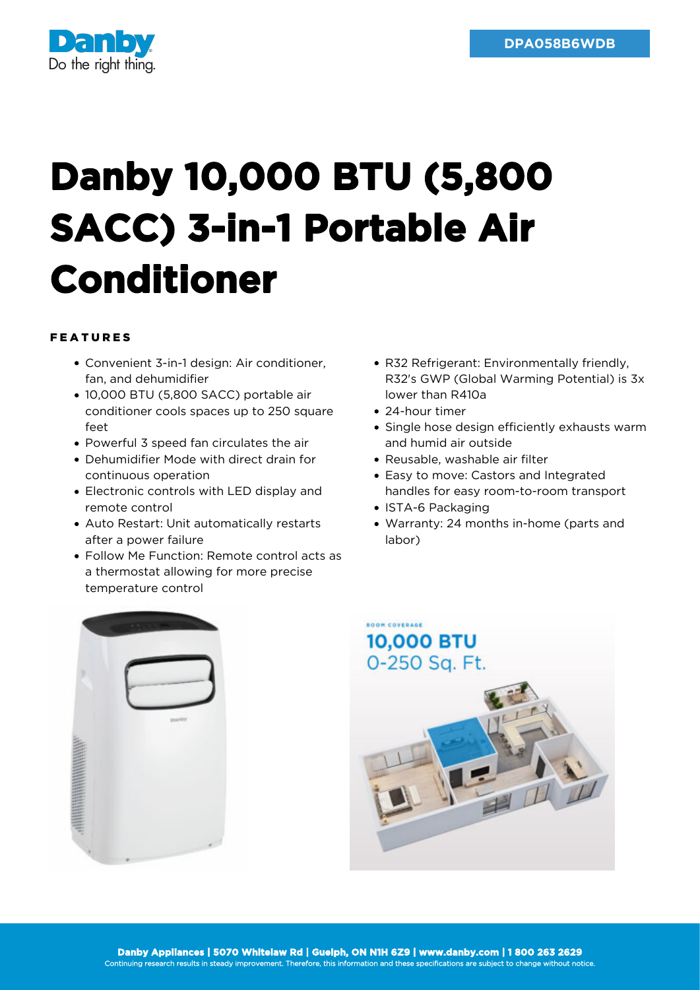

## **Danby 10,000 BTU (5,800 SACC) 3-in-1 Portable Air Conditioner**

## FEATURES

- Convenient 3-in-1 design: Air conditioner, fan, and dehumidifier
- 10,000 BTU (5,800 SACC) portable air conditioner cools spaces up to 250 square feet
- Powerful 3 speed fan circulates the air
- Dehumidifier Mode with direct drain for continuous operation
- Electronic controls with LED display and remote control
- Auto Restart: Unit automatically restarts after a power failure
- Follow Me Function: Remote control acts as a thermostat allowing for more precise temperature control
- R32 Refrigerant: Environmentally friendly, R32's GWP (Global Warming Potential) is 3x lower than R410a
- 24-hour timer
- Single hose design efficiently exhausts warm and humid air outside
- Reusable, washable air filter
- Easy to move: Castors and Integrated handles for easy room-to-room transport
- ISTA-6 Packaging
- Warranty: 24 months in-home (parts and labor)